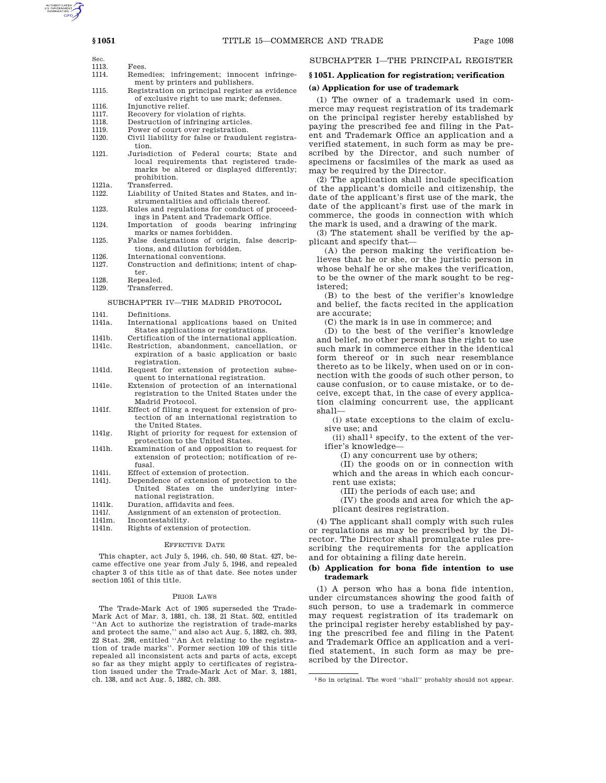- Sec. 1113. Fees.<br>1114. Reme Remedies; infringement; innocent infringement by printers and publishers.
- 1115. Registration on principal register as evidence of exclusive right to use mark; defenses.
- 1116. Injunctive relief.<br>1117. Recovery for viol
- 1117. Recovery for violation of rights.<br>1118. Destruction of infringing article
- 1118. Destruction of infringing articles.<br>1119. Power of court over registration.
- Power of court over registration.
- 1120. Civil liability for false or fraudulent registration.
- 1121. Jurisdiction of Federal courts; State and local requirements that registered trademarks be altered or displayed differently; prohibition.
- 1121a. Transferred.<br>1122. Liability of
- Liability of United States and States, and instrumentalities and officials thereof. 1123. Rules and regulations for conduct of proceed-
- ings in Patent and Trademark Office.
- 1124. Importation of goods bearing infringing marks or names forbidden. 1125. False designations of origin, false descrip-
- tions, and dilution forbidden.
- 1126. International conventions.<br>1127 Construction and definition Construction and definitions; intent of chapter.
- 1128. Repealed.<br>1129 Transferre
- Transferred.

## SUBCHAPTER IV—THE MADRID PROTOCOL

- 1141. Definitions.
- 1141a. International applications based on United States applications or registrations.
- 1141b. Certification of the international application.<br>1141c Restriction abandonment cancellation or Restriction, abandonment, cancellation, or expiration of a basic application or basic registration.
- 1141d. Request for extension of protection subsequent to international registration.
- 1141e. Extension of protection of an international registration to the United States under the Madrid Protocol.
- 1141f. Effect of filing a request for extension of protection of an international registration to the United States.
- 1141g. Right of priority for request for extension of protection to the United States.
- 1141h. Examination of and opposition to request for extension of protection; notification of refusal.
- 1141i. Effect of extension of protection.
- 1141j. Dependence of extension of protection to the United States on the underlying international registration.
- 1141k. Duration, affidavits and fees.<br>1141*l*. Assignment of an extension of
- 
- 1141*l*. Assignment of an extension of protection.<br>1141m Incontestability Incontestability.
- 1141n. Rights of extension of protection.

## EFFECTIVE DATE

This chapter, act July 5, 1946, ch. 540, 60 Stat. 427, became effective one year from July 5, 1946, and repealed chapter 3 of this title as of that date. See notes under section 1051 of this title.

### PRIOR LAWS

The Trade-Mark Act of 1905 superseded the Trade-Mark Act of Mar. 3, 1881, ch. 138, 21 Stat. 502, entitled ''An Act to authorize the registration of trade-marks and protect the same,'' and also act Aug. 5, 1882, ch. 393, 22 Stat. 298, entitled ''An Act relating to the registration of trade marks''. Former section 109 of this title repealed all inconsistent acts and parts of acts, except so far as they might apply to certificates of registration issued under the Trade-Mark Act of Mar. 3, 1881, ch. 138, and act Aug. 5, 1882, ch. 393.

# SUBCHAPTER I—THE PRINCIPAL REGISTER

# **§ 1051. Application for registration; verification**

# **(a) Application for use of trademark**

(1) The owner of a trademark used in commerce may request registration of its trademark on the principal register hereby established by paying the prescribed fee and filing in the Patent and Trademark Office an application and a verified statement, in such form as may be prescribed by the Director, and such number of specimens or facsimiles of the mark as used as may be required by the Director.

(2) The application shall include specification of the applicant's domicile and citizenship, the date of the applicant's first use of the mark, the date of the applicant's first use of the mark in commerce, the goods in connection with which the mark is used, and a drawing of the mark.

(3) The statement shall be verified by the applicant and specify that—

(A) the person making the verification believes that he or she, or the juristic person in whose behalf he or she makes the verification, to be the owner of the mark sought to be registered;

(B) to the best of the verifier's knowledge and belief, the facts recited in the application are accurate;

(C) the mark is in use in commerce; and

(D) to the best of the verifier's knowledge and belief, no other person has the right to use such mark in commerce either in the identical form thereof or in such near resemblance thereto as to be likely, when used on or in connection with the goods of such other person, to cause confusion, or to cause mistake, or to deceive, except that, in the case of every application claiming concurrent use, the applicant shall—

(i) state exceptions to the claim of exclusive use; and

 $(ii)$  shall<sup>1</sup> specify, to the extent of the verifier's knowledge—

(I) any concurrent use by others;

(II) the goods on or in connection with which and the areas in which each concurrent use exists;

(III) the periods of each use; and

(IV) the goods and area for which the applicant desires registration.

(4) The applicant shall comply with such rules or regulations as may be prescribed by the Director. The Director shall promulgate rules prescribing the requirements for the application and for obtaining a filing date herein.

## **(b) Application for bona fide intention to use trademark**

(1) A person who has a bona fide intention, under circumstances showing the good faith of such person, to use a trademark in commerce may request registration of its trademark on the principal register hereby established by paying the prescribed fee and filing in the Patent and Trademark Office an application and a verified statement, in such form as may be prescribed by the Director.

<sup>1</sup>So in original. The word ''shall'' probably should not appear.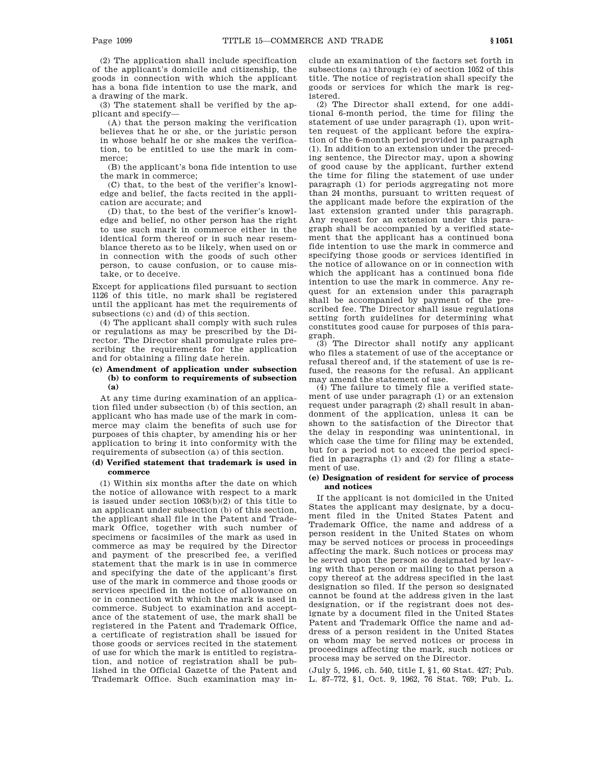(2) The application shall include specification of the applicant's domicile and citizenship, the goods in connection with which the applicant has a bona fide intention to use the mark, and a drawing of the mark.

(3) The statement shall be verified by the applicant and specify—

(A) that the person making the verification believes that he or she, or the juristic person in whose behalf he or she makes the verification, to be entitled to use the mark in commerce;

(B) the applicant's bona fide intention to use the mark in commerce;

(C) that, to the best of the verifier's knowledge and belief, the facts recited in the application are accurate; and

(D) that, to the best of the verifier's knowledge and belief, no other person has the right to use such mark in commerce either in the identical form thereof or in such near resemblance thereto as to be likely, when used on or in connection with the goods of such other person, to cause confusion, or to cause mistake, or to deceive.

Except for applications filed pursuant to section 1126 of this title, no mark shall be registered until the applicant has met the requirements of subsections (c) and (d) of this section.

(4) The applicant shall comply with such rules or regulations as may be prescribed by the Director. The Director shall promulgate rules prescribing the requirements for the application and for obtaining a filing date herein.

# **(c) Amendment of application under subsection (b) to conform to requirements of subsection (a)**

At any time during examination of an application filed under subsection (b) of this section, an applicant who has made use of the mark in commerce may claim the benefits of such use for purposes of this chapter, by amending his or her application to bring it into conformity with the requirements of subsection (a) of this section.

# **(d) Verified statement that trademark is used in commerce**

(1) Within six months after the date on which the notice of allowance with respect to a mark is issued under section 1063(b)(2) of this title to an applicant under subsection (b) of this section, the applicant shall file in the Patent and Trademark Office, together with such number of specimens or facsimiles of the mark as used in commerce as may be required by the Director and payment of the prescribed fee, a verified statement that the mark is in use in commerce and specifying the date of the applicant's first use of the mark in commerce and those goods or services specified in the notice of allowance on or in connection with which the mark is used in commerce. Subject to examination and acceptance of the statement of use, the mark shall be registered in the Patent and Trademark Office, a certificate of registration shall be issued for those goods or services recited in the statement of use for which the mark is entitled to registration, and notice of registration shall be published in the Official Gazette of the Patent and Trademark Office. Such examination may include an examination of the factors set forth in subsections (a) through (e) of section 1052 of this title. The notice of registration shall specify the goods or services for which the mark is registered.

(2) The Director shall extend, for one additional 6-month period, the time for filing the statement of use under paragraph (1), upon written request of the applicant before the expiration of the 6-month period provided in paragraph (1). In addition to an extension under the preceding sentence, the Director may, upon a showing of good cause by the applicant, further extend the time for filing the statement of use under paragraph (1) for periods aggregating not more than 24 months, pursuant to written request of the applicant made before the expiration of the last extension granted under this paragraph. Any request for an extension under this paragraph shall be accompanied by a verified statement that the applicant has a continued bona fide intention to use the mark in commerce and specifying those goods or services identified in the notice of allowance on or in connection with which the applicant has a continued bona fide intention to use the mark in commerce. Any request for an extension under this paragraph shall be accompanied by payment of the prescribed fee. The Director shall issue regulations setting forth guidelines for determining what constitutes good cause for purposes of this paragraph.

(3) The Director shall notify any applicant who files a statement of use of the acceptance or refusal thereof and, if the statement of use is refused, the reasons for the refusal. An applicant may amend the statement of use.

(4) The failure to timely file a verified statement of use under paragraph (1) or an extension request under paragraph (2) shall result in abandonment of the application, unless it can be shown to the satisfaction of the Director that the delay in responding was unintentional, in which case the time for filing may be extended, but for a period not to exceed the period specified in paragraphs (1) and (2) for filing a statement of use.

## **(e) Designation of resident for service of process and notices**

If the applicant is not domiciled in the United States the applicant may designate, by a document filed in the United States Patent and Trademark Office, the name and address of a person resident in the United States on whom may be served notices or process in proceedings affecting the mark. Such notices or process may be served upon the person so designated by leaving with that person or mailing to that person a copy thereof at the address specified in the last designation so filed. If the person so designated cannot be found at the address given in the last designation, or if the registrant does not designate by a document filed in the United States Patent and Trademark Office the name and address of a person resident in the United States on whom may be served notices or process in proceedings affecting the mark, such notices or process may be served on the Director.

(July 5, 1946, ch. 540, title I, §1, 60 Stat. 427; Pub. L. 87–772, §1, Oct. 9, 1962, 76 Stat. 769; Pub. L.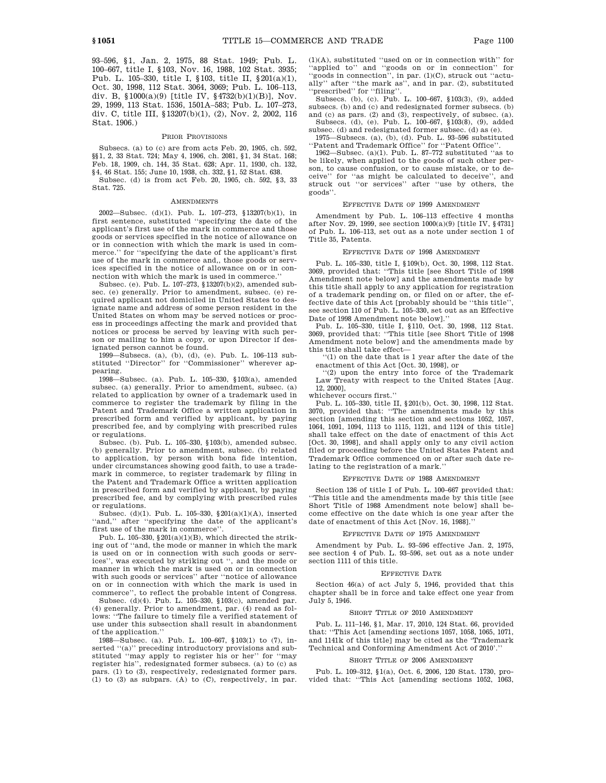93–596, §1, Jan. 2, 1975, 88 Stat. 1949; Pub. L. 100–667, title I, §103, Nov. 16, 1988, 102 Stat. 3935; Pub. L. 105–330, title I, §103, title II, §201(a)(1), Oct. 30, 1998, 112 Stat. 3064, 3069; Pub. L. 106–113, div. B,  $$1000(a)(9)$  [title IV,  $$4732(b)(1)(B)$ ], Nov. 29, 1999, 113 Stat. 1536, 1501A–583; Pub. L. 107–273, div. C, title III, §13207(b)(1), (2), Nov. 2, 2002, 116 Stat. 1906.)

## PRIOR PROVISIONS

Subsecs. (a) to (c) are from acts Feb. 20, 1905, ch. 592, §§1, 2, 33 Stat. 724; May 4, 1906, ch. 2081, §1, 34 Stat. 168; Feb. 18, 1909, ch. 144, 35 Stat. 628; Apr. 11, 1930, ch. 132, §4, 46 Stat. 155; June 10, 1938, ch. 332, §1, 52 Stat. 638. Subsec. (d) is from act Feb. 20, 1905, ch. 592, §3, 33 Stat. 725.

#### AMENDMENTS

2002—Subsec. (d)(1). Pub. L. 107–273, §13207(b)(1), in first sentence, substituted ''specifying the date of the applicant's first use of the mark in commerce and those goods or services specified in the notice of allowance on or in connection with which the mark is used in commerce.'' for ''specifying the date of the applicant's first use of the mark in commerce and,, those goods or services specified in the notice of allowance on or in connection with which the mark is used in commerce.''

Subsec. (e). Pub. L. 107–273, §13207(b)(2), amended subsec. (e) generally. Prior to amendment, subsec. (e) required applicant not domiciled in United States to designate name and address of some person resident in the United States on whom may be served notices or process in proceedings affecting the mark and provided that notices or process be served by leaving with such person or mailing to him a copy, or upon Director if designated person cannot be found.

1999—Subsecs. (a), (b), (d), (e). Pub. L. 106–113 substituted ''Director'' for ''Commissioner'' wherever appearing.

1998—Subsec. (a). Pub. L. 105–330, §103(a), amended subsec. (a) generally. Prior to amendment, subsec. (a) related to application by owner of a trademark used in commerce to register the trademark by filing in the Patent and Trademark Office a written application in prescribed form and verified by applicant, by paying prescribed fee, and by complying with prescribed rules or regulations.

Subsec. (b). Pub. L. 105–330, §103(b), amended subsec. (b) generally. Prior to amendment, subsec. (b) related to application, by person with bona fide intention, under circumstances showing good faith, to use a trademark in commerce, to register trademark by filing in the Patent and Trademark Office a written application in prescribed form and verified by applicant, by paying prescribed fee, and by complying with prescribed rules or regulations.

Subsec. (d)(1). Pub. L. 105–330, §201(a)(1)(A), inserted "and," after "specifying the date of the applicant's first use of the mark in commerce''.

Pub. L. 105-330,  $$201(a)(1)(B)$ , which directed the striking out of ''and, the mode or manner in which the mark is used on or in connection with such goods or services'', was executed by striking out '', and the mode or manner in which the mark is used on or in connection with such goods or services'' after ''notice of allowance on or in connection with which the mark is used in commerce'', to reflect the probable intent of Congress.

Subsec. (d)(4). Pub. L. 105–330, §103(c), amended par. (4) generally. Prior to amendment, par. (4) read as follows: ''The failure to timely file a verified statement of use under this subsection shall result in abandonment of the application.''

1988—Subsec. (a). Pub. L. 100–667, §103(1) to (7), inserted "(a)" preceding introductory provisions and substituted ''may apply to register his or her'' for ''may register his'', redesignated former subsecs. (a) to (c) as pars. (1) to (3), respectively, redesignated former pars. (1) to (3) as subpars. (A) to (C), respectively, in par. (1)(A), substituted ''used on or in connection with'' for 'applied to" and "goods on or in connection" for ''goods in connection'', in par. (1)(C), struck out ''actually'' after ''the mark as'', and in par. (2), substituted ''prescribed'' for ''filing''.

Subsecs. (b), (c). Pub. L. 100–667, §103(3), (9), added subsecs. (b) and (c) and redesignated former subsecs. (b) and (c) as pars. (2) and (3), respectively, of subsec. (a).

Subsecs. (d), (e). Pub. L. 100–667, §103(8), (9), added subsec. (d) and redesignated former subsec. (d) as (e).

1975—Subsecs. (a), (b), (d). Pub. L. 93–596 substituted ''Patent and Trademark Office'' for ''Patent Office''. 1962—Subsec. (a)(1). Pub. L. 87–772 substituted ''as to

be likely, when applied to the goods of such other person, to cause confusion, or to cause mistake, or to deceive'' for ''as might be calculated to deceive'', and struck out ''or services'' after ''use by others, the goods''.

### EFFECTIVE DATE OF 1999 AMENDMENT

Amendment by Pub. L. 106–113 effective 4 months after Nov. 29, 1999, see section 1000(a)(9) [title IV, §4731] of Pub. L. 106–113, set out as a note under section 1 of Title 35, Patents.

#### EFFECTIVE DATE OF 1998 AMENDMENT

Pub. L. 105–330, title I, §109(b), Oct. 30, 1998, 112 Stat. 3069, provided that: ''This title [see Short Title of 1998 Amendment note below] and the amendments made by this title shall apply to any application for registration of a trademark pending on, or filed on or after, the effective date of this Act [probably should be ''this title'', see section 110 of Pub. L. 105-330, set out as an Effective Date of 1998 Amendment note below].''

Pub. L. 105–330, title I, §110, Oct. 30, 1998, 112 Stat. 3069, provided that: ''This title [see Short Title of 1998 Amendment note below] and the amendments made by this title shall take effect—

''(1) on the date that is 1 year after the date of the enactment of this Act [Oct. 30, 1998], or

''(2) upon the entry into force of the Trademark Law Treaty with respect to the United States [Aug. 12, 2000],

whichever occurs first.''

Pub. L. 105–330, title II, §201(b), Oct. 30, 1998, 112 Stat. 3070, provided that: ''The amendments made by this section [amending this section and sections 1052, 1057, 1064, 1091, 1094, 1113 to 1115, 1121, and 1124 of this title] shall take effect on the date of enactment of this Act [Oct. 30, 1998], and shall apply only to any civil action filed or proceeding before the United States Patent and Trademark Office commenced on or after such date relating to the registration of a mark.''

#### EFFECTIVE DATE OF 1988 AMENDMENT

Section 136 of title I of Pub. L. 100–667 provided that: ''This title and the amendments made by this title [see Short Title of 1988 Amendment note below] shall become effective on the date which is one year after the date of enactment of this Act [Nov. 16, 1988].''

## EFFECTIVE DATE OF 1975 AMENDMENT

Amendment by Pub. L. 93–596 effective Jan. 2, 1975, see section 4 of Pub. L. 93–596, set out as a note under section 1111 of this title.

#### EFFECTIVE DATE

Section 46(a) of act July 5, 1946, provided that this chapter shall be in force and take effect one year from July 5, 1946.

# SHORT TITLE OF 2010 AMENDMENT

Pub. L. 111–146, §1, Mar. 17, 2010, 124 Stat. 66, provided that: ''This Act [amending sections 1057, 1058, 1065, 1071, and 1141k of this title] may be cited as the 'Trademark Technical and Conforming Amendment Act of 2010'.

#### SHORT TITLE OF 2006 AMENDMENT

Pub. L. 109–312, §1(a), Oct. 6, 2006, 120 Stat. 1730, provided that: ''This Act [amending sections 1052, 1063,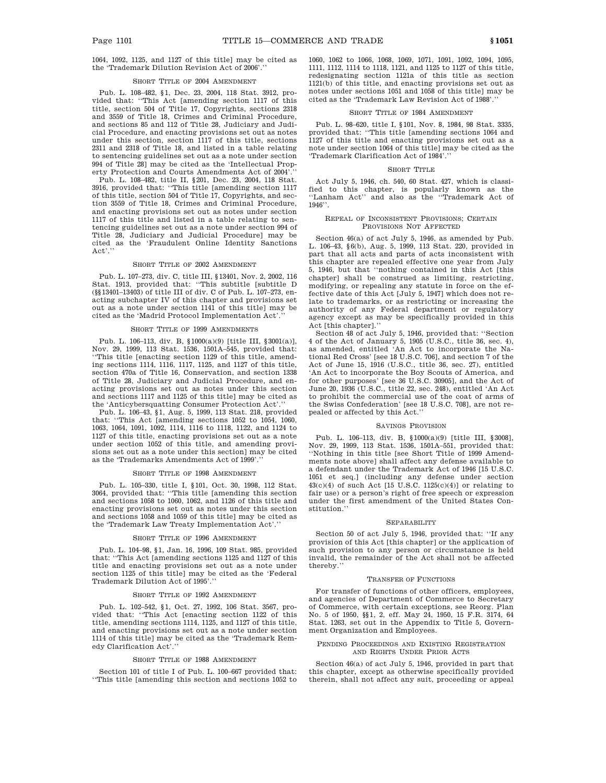## SHORT TITLE OF 2004 AMENDMENT

Pub. L. 108–482, §1, Dec. 23, 2004, 118 Stat. 3912, provided that: ''This Act [amending section 1117 of this title, section 504 of Title 17, Copyrights, sections 2318 and 3559 of Title 18, Crimes and Criminal Procedure, and sections 85 and 112 of Title 28, Judiciary and Judicial Procedure, and enacting provisions set out as notes under this section, section 1117 of this title, sections 2311 and 2318 of Title 18, and listed in a table relating to sentencing guidelines set out as a note under section 994 of Title 28] may be cited as the 'Intellectual Property Protection and Courts Amendments Act of 2004'.

Pub. L. 108–482, title II, §201, Dec. 23, 2004, 118 Stat. 3916, provided that: ''This title [amending section 1117 of this title, section 504 of Title 17, Copyrights, and section 3559 of Title 18, Crimes and Criminal Procedure, and enacting provisions set out as notes under section 1117 of this title and listed in a table relating to sentencing guidelines set out as a note under section 994 of Title 28, Judiciary and Judicial Procedure] may be cited as the 'Fraudulent Online Identity Sanctions Act'.''

#### SHORT TITLE OF 2002 AMENDMENT

Pub. L. 107–273, div. C, title III, §13401, Nov. 2, 2002, 116 Stat. 1913, provided that: ''This subtitle [subtitle D (§§13401–13403) of title III of div. C of Pub. L. 107–273, enacting subchapter IV of this chapter and provisions set out as a note under section 1141 of this title] may be cited as the 'Madrid Protocol Implementation Act'.

### SHORT TITLE OF 1999 AMENDMENTS

Pub. L. 106–113, div. B, §1000(a)(9) [title III, §3001(a)], Nov. 29, 1999, 113 Stat. 1536, 1501A–545, provided that: ''This title [enacting section 1129 of this title, amending sections 1114, 1116, 1117, 1125, and 1127 of this title, section 470a of Title 16, Conservation, and section 1338 of Title 28, Judiciary and Judicial Procedure, and enacting provisions set out as notes under this section and sections 1117 and 1125 of this title] may be cited as the 'Anticybersquatting Consumer Protection Act'.''

Pub. L. 106–43, §1, Aug. 5, 1999, 113 Stat. 218, provided that: ''This Act [amending sections 1052 to 1054, 1060, 1063, 1064, 1091, 1092, 1114, 1116 to 1118, 1122, and 1124 to 1127 of this title, enacting provisions set out as a note under section 1052 of this title, and amending provisions set out as a note under this section] may be cited as the 'Trademarks Amendments Act of 1999'.

## SHORT TITLE OF 1998 AMENDMENT

Pub. L. 105–330, title I, §101, Oct. 30, 1998, 112 Stat. 3064, provided that: ''This title [amending this section and sections 1058 to 1060, 1062, and 1126 of this title and enacting provisions set out as notes under this section and sections 1058 and 1059 of this title] may be cited as the 'Trademark Law Treaty Implementation Act'.''

## SHORT TITLE OF 1996 AMENDMENT

Pub. L. 104–98, §1, Jan. 16, 1996, 109 Stat. 985, provided that: ''This Act [amending sections 1125 and 1127 of this title and enacting provisions set out as a note under section 1125 of this title] may be cited as the 'Federal Trademark Dilution Act of 1995'.''

### SHORT TITLE OF 1992 AMENDMENT

Pub. L. 102–542, §1, Oct. 27, 1992, 106 Stat. 3567, provided that: ''This Act [enacting section 1122 of this title, amending sections 1114, 1125, and 1127 of this title, and enacting provisions set out as a note under section 1114 of this title] may be cited as the 'Trademark Remedy Clarification Act'.''

#### SHORT TITLE OF 1988 AMENDMENT

Section 101 of title I of Pub. L. 100–667 provided that: ''This title [amending this section and sections 1052 to

1060, 1062 to 1066, 1068, 1069, 1071, 1091, 1092, 1094, 1095, 1111, 1112, 1114 to 1118, 1121, and 1125 to 1127 of this title, redesignating section 1121a of this title as section 1121(b) of this title, and enacting provisions set out as notes under sections 1051 and 1058 of this title] may be cited as the 'Trademark Law Revision Act of 1988'.''

# SHORT TITLE OF 1984 AMENDMENT

Pub. L. 98–620, title I, §101, Nov. 8, 1984, 98 Stat. 3335, provided that: ''This title [amending sections 1064 and 1127 of this title and enacting provisions set out as a note under section 1064 of this title] may be cited as the 'Trademark Clarification Act of 1984'.''

#### SHORT TITLE

Act July 5, 1946, ch. 540, 60 Stat. 427, which is classified to this chapter, is popularly known as the ''Lanham Act'' and also as the ''Trademark Act of 1946''.

### REPEAL OF INCONSISTENT PROVISIONS; CERTAIN PROVISIONS NOT AFFECTED

Section 46(a) of act July 5, 1946, as amended by Pub. L. 106–43, §6(b), Aug. 5, 1999, 113 Stat. 220, provided in part that all acts and parts of acts inconsistent with this chapter are repealed effective one year from July 5, 1946, but that ''nothing contained in this Act [this chapter] shall be construed as limiting, restricting, modifying, or repealing any statute in force on the effective date of this Act [July 5, 1947] which does not relate to trademarks, or as restricting or increasing the authority of any Federal department or regulatory agency except as may be specifically provided in this Act [this chapter].''

Section 48 of act July 5, 1946, provided that: ''Section 4 of the Act of January 5, 1905 (U.S.C., title 36, sec. 4), as amended, entitled 'An Act to incorporate the National Red Cross' [see 18 U.S.C. 706], and section 7 of the Act of June 15, 1916 (U.S.C., title 36, sec. 27), entitled 'An Act to incorporate the Boy Scouts of America, and for other purposes' [see 36 U.S.C. 30905], and the Act of June 20, 1936 (U.S.C., title 22, sec. 248), entitled 'An Act to prohibit the commercial use of the coat of arms of the Swiss Confederation' [see 18 U.S.C. 708], are not repealed or affected by this Act.''

#### SAVINGS PROVISION

Pub. L. 106–113, div. B, §1000(a)(9) [title III, §3008], Nov. 29, 1999, 113 Stat. 1536, 1501A–551, provided that: ''Nothing in this title [see Short Title of 1999 Amendments note above] shall affect any defense available to a defendant under the Trademark Act of 1946 [15 U.S.C. 1051 et seq.] (including any defense under section 43(c)(4) of such Act [15 U.S.C. 1125(c)(4)] or relating to fair use) or a person's right of free speech or expression under the first amendment of the United States Constitution.''

#### SEPARABILITY

Section 50 of act July 5, 1946, provided that: ''If any provision of this Act [this chapter] or the application of such provision to any person or circumstance is held invalid, the remainder of the Act shall not be affected thereby.''

#### TRANSFER OF FUNCTIONS

For transfer of functions of other officers, employees and agencies of Department of Commerce to Secretary of Commerce, with certain exceptions, see Reorg. Plan No. 5 of 1950, §§1, 2, eff. May 24, 1950, 15 F.R. 3174, 64 Stat. 1263, set out in the Appendix to Title 5, Government Organization and Employees.

### PENDING PROCEEDINGS AND EXISTING REGISTRATION AND RIGHTS UNDER PRIOR ACTS

Section 46(a) of act July 5, 1946, provided in part that this chapter, except as otherwise specifically provided therein, shall not affect any suit, proceeding or appeal